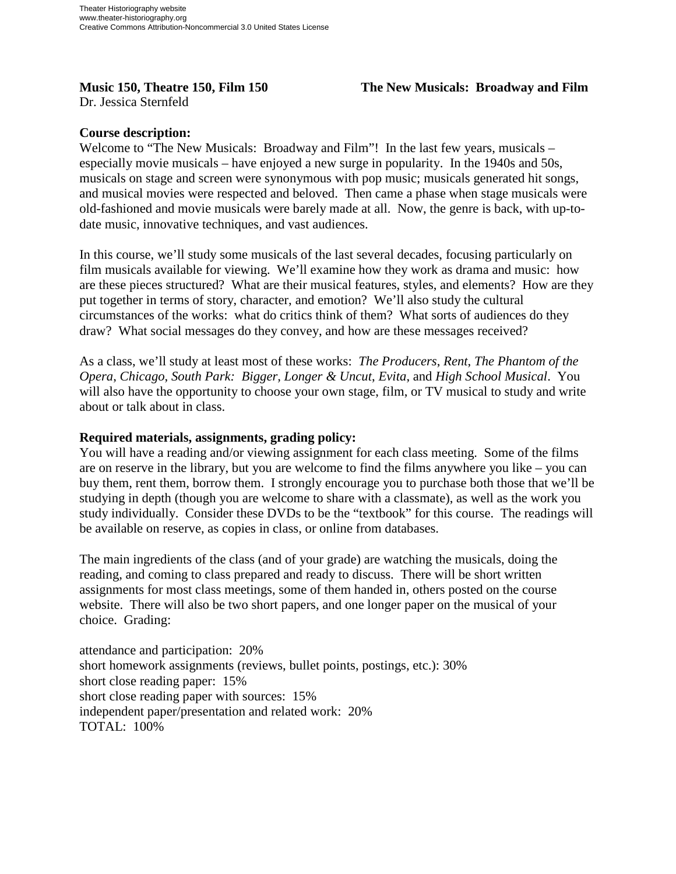**Music 150, Theatre 150, Film 150 The New Musicals: Broadway and Film** 

Dr. Jessica Sternfeld

## **Course description:**

Welcome to "The New Musicals: Broadway and Film"! In the last few years, musicals – especially movie musicals – have enjoyed a new surge in popularity. In the 1940s and 50s, musicals on stage and screen were synonymous with pop music; musicals generated hit songs, and musical movies were respected and beloved. Then came a phase when stage musicals were old-fashioned and movie musicals were barely made at all. Now, the genre is back, with up-todate music, innovative techniques, and vast audiences.

In this course, we'll study some musicals of the last several decades, focusing particularly on film musicals available for viewing. We'll examine how they work as drama and music: how are these pieces structured? What are their musical features, styles, and elements? How are they put together in terms of story, character, and emotion? We'll also study the cultural circumstances of the works: what do critics think of them? What sorts of audiences do they draw? What social messages do they convey, and how are these messages received?

As a class, we'll study at least most of these works: *The Producers*, *Rent*, *The Phantom of the Opera*, *Chicago*, *South Park: Bigger, Longer & Uncut*, *Evita*, and *High School Musical*. You will also have the opportunity to choose your own stage, film, or TV musical to study and write about or talk about in class.

## **Required materials, assignments, grading policy:**

You will have a reading and/or viewing assignment for each class meeting. Some of the films are on reserve in the library, but you are welcome to find the films anywhere you like – you can buy them, rent them, borrow them. I strongly encourage you to purchase both those that we'll be studying in depth (though you are welcome to share with a classmate), as well as the work you study individually. Consider these DVDs to be the "textbook" for this course. The readings will be available on reserve, as copies in class, or online from databases.

The main ingredients of the class (and of your grade) are watching the musicals, doing the reading, and coming to class prepared and ready to discuss. There will be short written assignments for most class meetings, some of them handed in, others posted on the course website. There will also be two short papers, and one longer paper on the musical of your choice. Grading:

attendance and participation: 20% short homework assignments (reviews, bullet points, postings, etc.): 30% short close reading paper: 15% short close reading paper with sources: 15% independent paper/presentation and related work: 20% TOTAL: 100%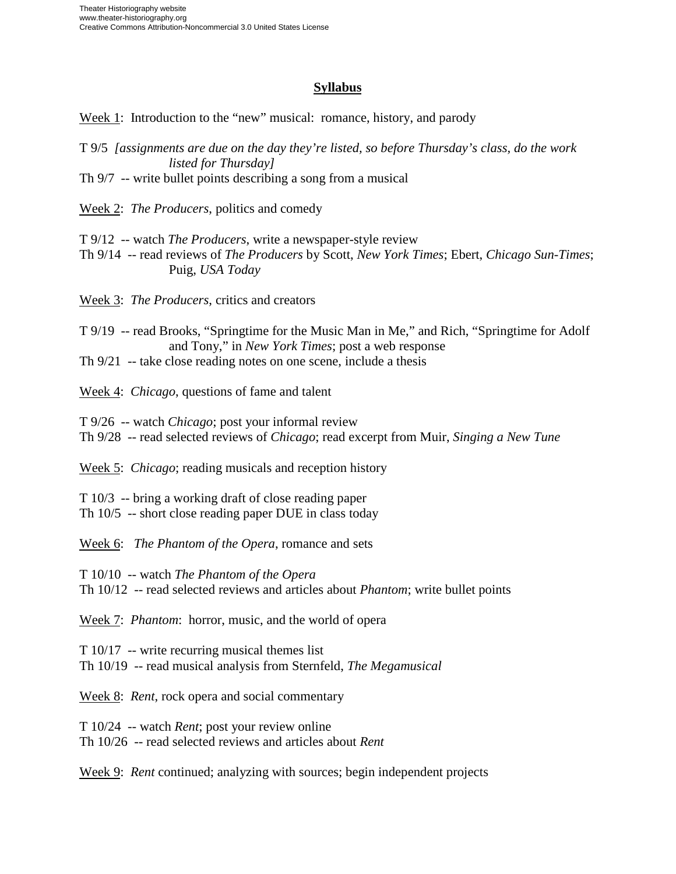## **Syllabus**

Week 1: Introduction to the "new" musical: romance, history, and parody

T 9/5 *[assignments are due on the day they're listed, so before Thursday's class, do the work listed for Thursday]*

Th 9/7 -- write bullet points describing a song from a musical

Week 2: *The Producers*, politics and comedy

T 9/12 -- watch *The Producers*, write a newspaper-style review

Th 9/14 -- read reviews of *The Producers* by Scott, *New York Times*; Ebert, *Chicago Sun-Times*; Puig, *USA Today*

Week 3: *The Producers*, critics and creators

T 9/19 -- read Brooks, "Springtime for the Music Man in Me," and Rich, "Springtime for Adolf and Tony," in *New York Times*; post a web response

Th 9/21 -- take close reading notes on one scene, include a thesis

Week 4: *Chicago*, questions of fame and talent

T 9/26 -- watch *Chicago*; post your informal review

Th 9/28 -- read selected reviews of *Chicago*; read excerpt from Muir, *Singing a New Tune*

Week 5: *Chicago*; reading musicals and reception history

T 10/3 -- bring a working draft of close reading paper

Th 10/5 -- short close reading paper DUE in class today

Week 6: *The Phantom of the Opera*, romance and sets

T 10/10 -- watch *The Phantom of the Opera*

Th 10/12 -- read selected reviews and articles about *Phantom*; write bullet points

Week 7: *Phantom*: horror, music, and the world of opera

T 10/17 -- write recurring musical themes list

Th 10/19 -- read musical analysis from Sternfeld, *The Megamusical*

Week 8: *Rent*, rock opera and social commentary

T 10/24 -- watch *Rent*; post your review online

Th 10/26 -- read selected reviews and articles about *Rent*

Week 9: *Rent* continued; analyzing with sources; begin independent projects